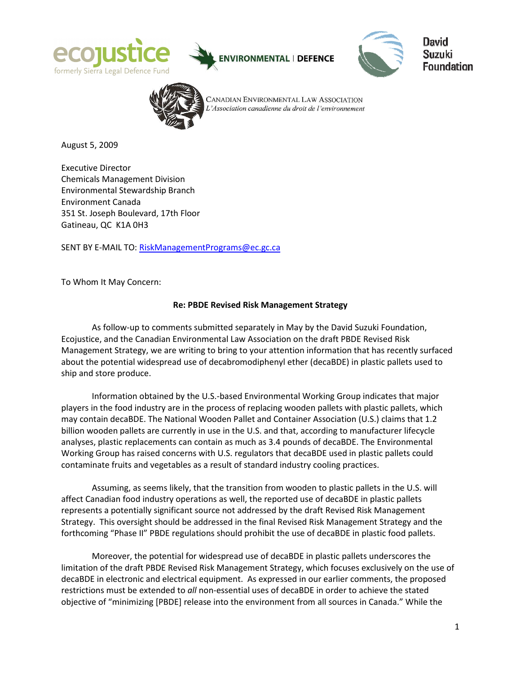





David Suzuki Foundation



CANADIAN ENVIRONMENTAL LAW ASSOCIATION L'Association canadienne du droit de l'environnement

August 5, 2009

Executive Director Chemicals Management Division Environmental Stewardship Branch Environment Canada 351 St. Joseph Boulevard, 17th Floor Gatineau, QC K1A 0H3

SENT BY E-MAIL TO: RiskManagementPrograms@ec.gc.ca

To Whom It May Concern:

## Re: PBDE Revised Risk Management Strategy

As follow-up to comments submitted separately in May by the David Suzuki Foundation, Ecojustice, and the Canadian Environmental Law Association on the draft PBDE Revised Risk Management Strategy, we are writing to bring to your attention information that has recently surfaced about the potential widespread use of decabromodiphenyl ether (decaBDE) in plastic pallets used to ship and store produce.

Information obtained by the U.S.-based Environmental Working Group indicates that major players in the food industry are in the process of replacing wooden pallets with plastic pallets, which may contain decaBDE. The National Wooden Pallet and Container Association (U.S.) claims that 1.2 billion wooden pallets are currently in use in the U.S. and that, according to manufacturer lifecycle analyses, plastic replacements can contain as much as 3.4 pounds of decaBDE. The Environmental Working Group has raised concerns with U.S. regulators that decaBDE used in plastic pallets could contaminate fruits and vegetables as a result of standard industry cooling practices.

Assuming, as seems likely, that the transition from wooden to plastic pallets in the U.S. will affect Canadian food industry operations as well, the reported use of decaBDE in plastic pallets represents a potentially significant source not addressed by the draft Revised Risk Management Strategy. This oversight should be addressed in the final Revised Risk Management Strategy and the forthcoming "Phase II" PBDE regulations should prohibit the use of decaBDE in plastic food pallets.

Moreover, the potential for widespread use of decaBDE in plastic pallets underscores the limitation of the draft PBDE Revised Risk Management Strategy, which focuses exclusively on the use of decaBDE in electronic and electrical equipment. As expressed in our earlier comments, the proposed restrictions must be extended to all non-essential uses of decaBDE in order to achieve the stated objective of "minimizing [PBDE] release into the environment from all sources in Canada." While the